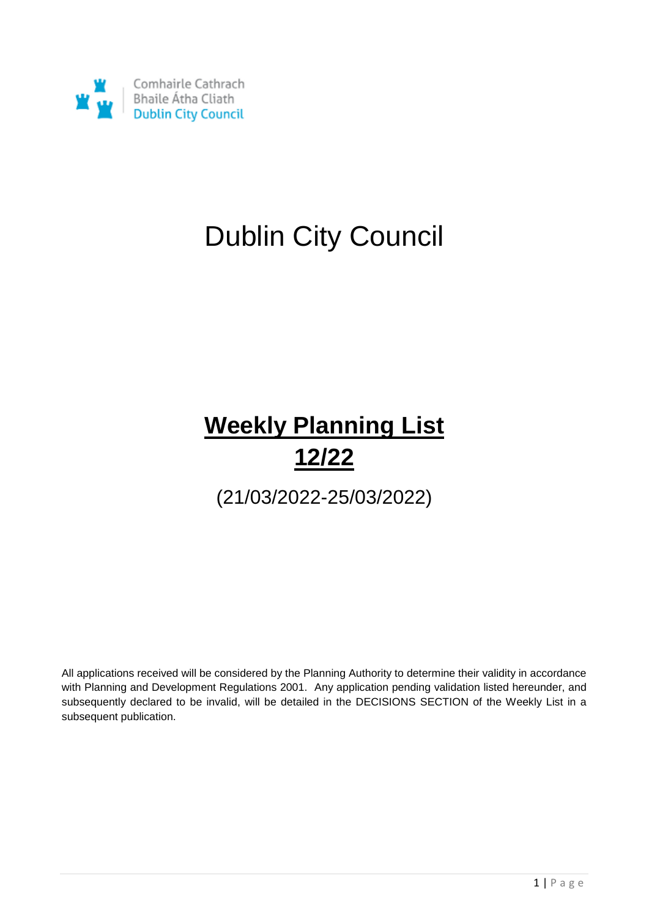

## Dublin City Council

### **Weekly Planning List 12/22**

(21/03/2022-25/03/2022)

All applications received will be considered by the Planning Authority to determine their validity in accordance with Planning and Development Regulations 2001. Any application pending validation listed hereunder, and subsequently declared to be invalid, will be detailed in the DECISIONS SECTION of the Weekly List in a subsequent publication.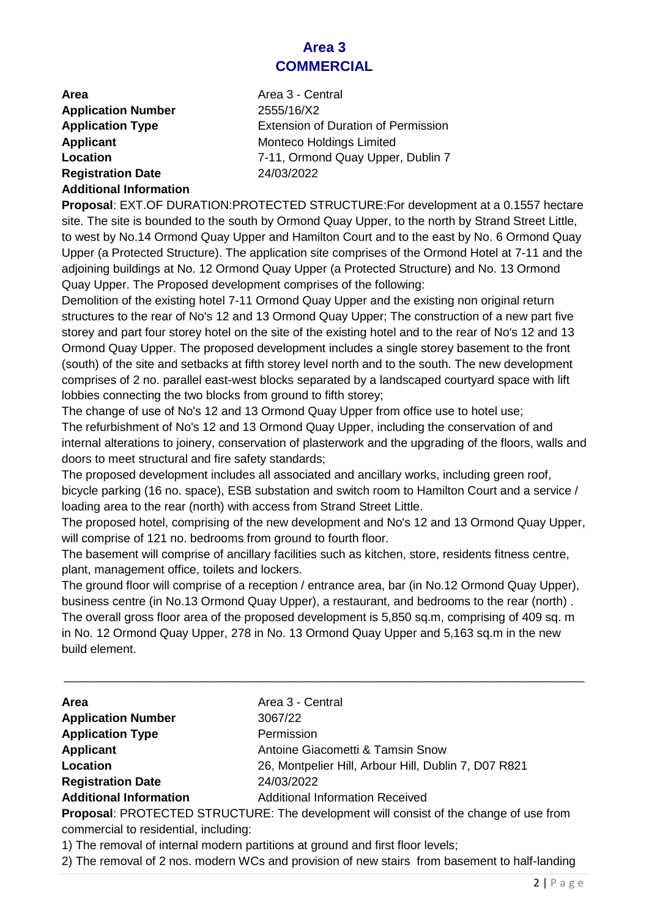#### **Area 3 COMMERCIAL**

| Area                          |
|-------------------------------|
| <b>Application Number</b>     |
| <b>Application Type</b>       |
| <b>Applicant</b>              |
| Location                      |
| <b>Registration Date</b>      |
| <b>Additional Information</b> |

**Area** Area 3 - Central **Application Number** 2555/16/X2 **Extension of Duration of Permission Monteco Holdings Limited Location** 7-11, Ormond Quay Upper, Dublin 7 **Registration Date** 24/03/2022

**Proposal**: EXT.OF DURATION:PROTECTED STRUCTURE:For development at a 0.1557 hectare site. The site is bounded to the south by Ormond Quay Upper, to the north by Strand Street Little, to west by No.14 Ormond Quay Upper and Hamilton Court and to the east by No. 6 Ormond Quay Upper (a Protected Structure). The application site comprises of the Ormond Hotel at 7-11 and the adjoining buildings at No. 12 Ormond Quay Upper (a Protected Structure) and No. 13 Ormond Quay Upper. The Proposed development comprises of the following:

Demolition of the existing hotel 7-11 Ormond Quay Upper and the existing non original return structures to the rear of No's 12 and 13 Ormond Quay Upper; The construction of a new part five storey and part four storey hotel on the site of the existing hotel and to the rear of No's 12 and 13 Ormond Quay Upper. The proposed development includes a single storey basement to the front (south) of the site and setbacks at fifth storey level north and to the south. The new development comprises of 2 no. parallel east-west blocks separated by a landscaped courtyard space with lift lobbies connecting the two blocks from ground to fifth storey;

The change of use of No's 12 and 13 Ormond Quay Upper from office use to hotel use; The refurbishment of No's 12 and 13 Ormond Quay Upper, including the conservation of and internal alterations to joinery, conservation of plasterwork and the upgrading of the floors, walls and doors to meet structural and fire safety standards;

The proposed development includes all associated and ancillary works, including green roof, bicycle parking (16 no. space), ESB substation and switch room to Hamilton Court and a service / loading area to the rear (north) with access from Strand Street Little.

The proposed hotel, comprising of the new development and No's 12 and 13 Ormond Quay Upper, will comprise of 121 no. bedrooms from ground to fourth floor.

The basement will comprise of ancillary facilities such as kitchen, store, residents fitness centre, plant, management office, toilets and lockers.

The ground floor will comprise of a reception / entrance area, bar (in No.12 Ormond Quay Upper), business centre (in No.13 Ormond Quay Upper), a restaurant, and bedrooms to the rear (north) . The overall gross floor area of the proposed development is 5,850 sq.m, comprising of 409 sq. m in No. 12 Ormond Quay Upper, 278 in No. 13 Ormond Quay Upper and 5,163 sq.m in the new build element.

\_\_\_\_\_\_\_\_\_\_\_\_\_\_\_\_\_\_\_\_\_\_\_\_\_\_\_\_\_\_\_\_\_\_\_\_\_\_\_\_\_\_\_\_\_\_\_\_\_\_\_\_\_\_\_\_\_\_\_\_\_\_\_\_\_\_\_\_\_\_\_\_\_\_\_\_\_\_

| <b>Area</b>                   | Area 3 - Central                                     |
|-------------------------------|------------------------------------------------------|
| <b>Application Number</b>     | 3067/22                                              |
| <b>Application Type</b>       | Permission                                           |
| <b>Applicant</b>              | Antoine Giacometti & Tamsin Snow                     |
| Location                      | 26, Montpelier Hill, Arbour Hill, Dublin 7, D07 R821 |
| <b>Registration Date</b>      | 24/03/2022                                           |
| <b>Additional Information</b> | <b>Additional Information Received</b>               |

**Proposal**: PROTECTED STRUCTURE: The development will consist of the change of use from commercial to residential, including:

1) The removal of internal modern partitions at ground and first floor levels;

2) The removal of 2 nos. modern WCs and provision of new stairs from basement to half-landing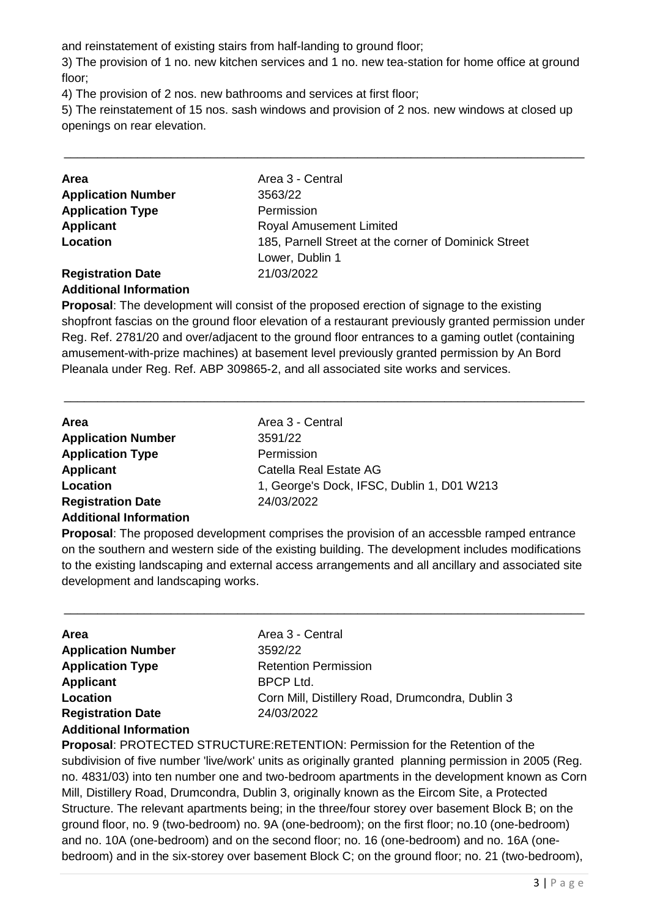and reinstatement of existing stairs from half-landing to ground floor;

3) The provision of 1 no. new kitchen services and 1 no. new tea-station for home office at ground floor;

4) The provision of 2 nos. new bathrooms and services at first floor;

5) The reinstatement of 15 nos. sash windows and provision of 2 nos. new windows at closed up openings on rear elevation.

\_\_\_\_\_\_\_\_\_\_\_\_\_\_\_\_\_\_\_\_\_\_\_\_\_\_\_\_\_\_\_\_\_\_\_\_\_\_\_\_\_\_\_\_\_\_\_\_\_\_\_\_\_\_\_\_\_\_\_\_\_\_\_\_\_\_\_\_\_\_\_\_\_\_\_\_\_\_

| <b>Area</b>               | Area 3 - Central                                     |
|---------------------------|------------------------------------------------------|
| <b>Application Number</b> | 3563/22                                              |
| <b>Application Type</b>   | Permission                                           |
| Applicant                 | <b>Royal Amusement Limited</b>                       |
| Location                  | 185, Parnell Street at the corner of Dominick Street |
|                           | Lower, Dublin 1                                      |
| <b>Registration Date</b>  | 21/03/2022                                           |

#### **Additional Information**

**Proposal**: The development will consist of the proposed erection of signage to the existing shopfront fascias on the ground floor elevation of a restaurant previously granted permission under Reg. Ref. 2781/20 and over/adjacent to the ground floor entrances to a gaming outlet (containing amusement-with-prize machines) at basement level previously granted permission by An Bord Pleanala under Reg. Ref. ABP 309865-2, and all associated site works and services.

\_\_\_\_\_\_\_\_\_\_\_\_\_\_\_\_\_\_\_\_\_\_\_\_\_\_\_\_\_\_\_\_\_\_\_\_\_\_\_\_\_\_\_\_\_\_\_\_\_\_\_\_\_\_\_\_\_\_\_\_\_\_\_\_\_\_\_\_\_\_\_\_\_\_\_\_\_\_

| <b>Area</b>                                               | Area 3 - Central                           |
|-----------------------------------------------------------|--------------------------------------------|
| <b>Application Number</b>                                 | 3591/22                                    |
| <b>Application Type</b>                                   | Permission                                 |
| <b>Applicant</b>                                          | Catella Real Estate AG                     |
| Location                                                  | 1, George's Dock, IFSC, Dublin 1, D01 W213 |
| <b>Registration Date</b><br><b>Additional Information</b> | 24/03/2022                                 |

**Proposal**: The proposed development comprises the provision of an accessble ramped entrance on the southern and western side of the existing building. The development includes modifications to the existing landscaping and external access arrangements and all ancillary and associated site development and landscaping works.

\_\_\_\_\_\_\_\_\_\_\_\_\_\_\_\_\_\_\_\_\_\_\_\_\_\_\_\_\_\_\_\_\_\_\_\_\_\_\_\_\_\_\_\_\_\_\_\_\_\_\_\_\_\_\_\_\_\_\_\_\_\_\_\_\_\_\_\_\_\_\_\_\_\_\_\_\_\_

| Area                          | Area 3 - Central                                 |
|-------------------------------|--------------------------------------------------|
| <b>Application Number</b>     | 3592/22                                          |
| <b>Application Type</b>       | <b>Retention Permission</b>                      |
| <b>Applicant</b>              | BPCP Ltd.                                        |
| Location                      | Corn Mill, Distillery Road, Drumcondra, Dublin 3 |
| <b>Registration Date</b>      | 24/03/2022                                       |
| <b>Additional Information</b> |                                                  |

**Proposal**: PROTECTED STRUCTURE:RETENTION: Permission for the Retention of the subdivision of five number 'live/work' units as originally granted planning permission in 2005 (Reg. no. 4831/03) into ten number one and two-bedroom apartments in the development known as Corn Mill, Distillery Road, Drumcondra, Dublin 3, originally known as the Eircom Site, a Protected Structure. The relevant apartments being; in the three/four storey over basement Block B; on the ground floor, no. 9 (two-bedroom) no. 9A (one-bedroom); on the first floor; no.10 (one-bedroom) and no. 10A (one-bedroom) and on the second floor; no. 16 (one-bedroom) and no. 16A (onebedroom) and in the six-storey over basement Block C; on the ground floor; no. 21 (two-bedroom),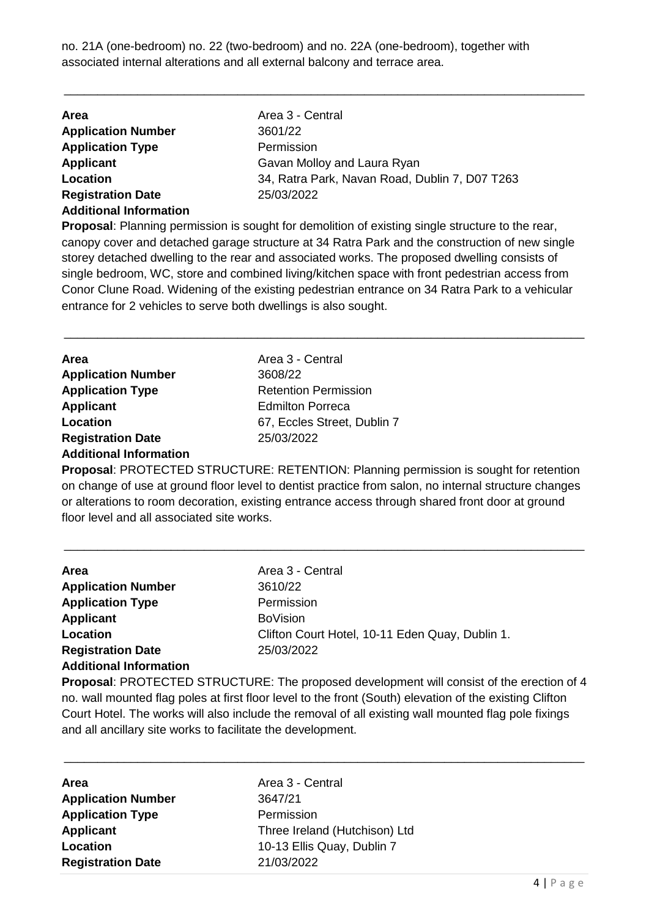no. 21A (one-bedroom) no. 22 (two-bedroom) and no. 22A (one-bedroom), together with associated internal alterations and all external balcony and terrace area.

\_\_\_\_\_\_\_\_\_\_\_\_\_\_\_\_\_\_\_\_\_\_\_\_\_\_\_\_\_\_\_\_\_\_\_\_\_\_\_\_\_\_\_\_\_\_\_\_\_\_\_\_\_\_\_\_\_\_\_\_\_\_\_\_\_\_\_\_\_\_\_\_\_\_\_\_\_\_

| Area 3 - Central                               |
|------------------------------------------------|
|                                                |
|                                                |
| Gavan Molloy and Laura Ryan                    |
| 34, Ratra Park, Navan Road, Dublin 7, D07 T263 |
|                                                |
|                                                |
|                                                |

**Proposal**: Planning permission is sought for demolition of existing single structure to the rear, canopy cover and detached garage structure at 34 Ratra Park and the construction of new single storey detached dwelling to the rear and associated works. The proposed dwelling consists of single bedroom, WC, store and combined living/kitchen space with front pedestrian access from Conor Clune Road. Widening of the existing pedestrian entrance on 34 Ratra Park to a vehicular entrance for 2 vehicles to serve both dwellings is also sought.

\_\_\_\_\_\_\_\_\_\_\_\_\_\_\_\_\_\_\_\_\_\_\_\_\_\_\_\_\_\_\_\_\_\_\_\_\_\_\_\_\_\_\_\_\_\_\_\_\_\_\_\_\_\_\_\_\_\_\_\_\_\_\_\_\_\_\_\_\_\_\_\_\_\_\_\_\_\_

| <b>Area</b>                   | Area 3 - Central            |
|-------------------------------|-----------------------------|
| <b>Application Number</b>     | 3608/22                     |
| <b>Application Type</b>       | <b>Retention Permission</b> |
| <b>Applicant</b>              | <b>Edmilton Porreca</b>     |
| Location                      | 67, Eccles Street, Dublin 7 |
| <b>Registration Date</b>      | 25/03/2022                  |
| <b>Additional Information</b> |                             |

**Proposal**: PROTECTED STRUCTURE: RETENTION: Planning permission is sought for retention on change of use at ground floor level to dentist practice from salon, no internal structure changes or alterations to room decoration, existing entrance access through shared front door at ground floor level and all associated site works.

\_\_\_\_\_\_\_\_\_\_\_\_\_\_\_\_\_\_\_\_\_\_\_\_\_\_\_\_\_\_\_\_\_\_\_\_\_\_\_\_\_\_\_\_\_\_\_\_\_\_\_\_\_\_\_\_\_\_\_\_\_\_\_\_\_\_\_\_\_\_\_\_\_\_\_\_\_\_

| Area                          | Area 3 - Central                                |
|-------------------------------|-------------------------------------------------|
| <b>Application Number</b>     | 3610/22                                         |
| <b>Application Type</b>       | Permission                                      |
| <b>Applicant</b>              | <b>BoVision</b>                                 |
| Location                      | Clifton Court Hotel, 10-11 Eden Quay, Dublin 1. |
| <b>Registration Date</b>      | 25/03/2022                                      |
| <b>Additional Information</b> |                                                 |

**Proposal**: PROTECTED STRUCTURE: The proposed development will consist of the erection of 4 no. wall mounted flag poles at first floor level to the front (South) elevation of the existing Clifton Court Hotel. The works will also include the removal of all existing wall mounted flag pole fixings and all ancillary site works to facilitate the development.

| <b>Area</b>               | Area 3 - Central              |
|---------------------------|-------------------------------|
| <b>Application Number</b> | 3647/21                       |
| <b>Application Type</b>   | Permission                    |
| <b>Applicant</b>          | Three Ireland (Hutchison) Ltd |
| Location                  | 10-13 Ellis Quay, Dublin 7    |
| <b>Registration Date</b>  | 21/03/2022                    |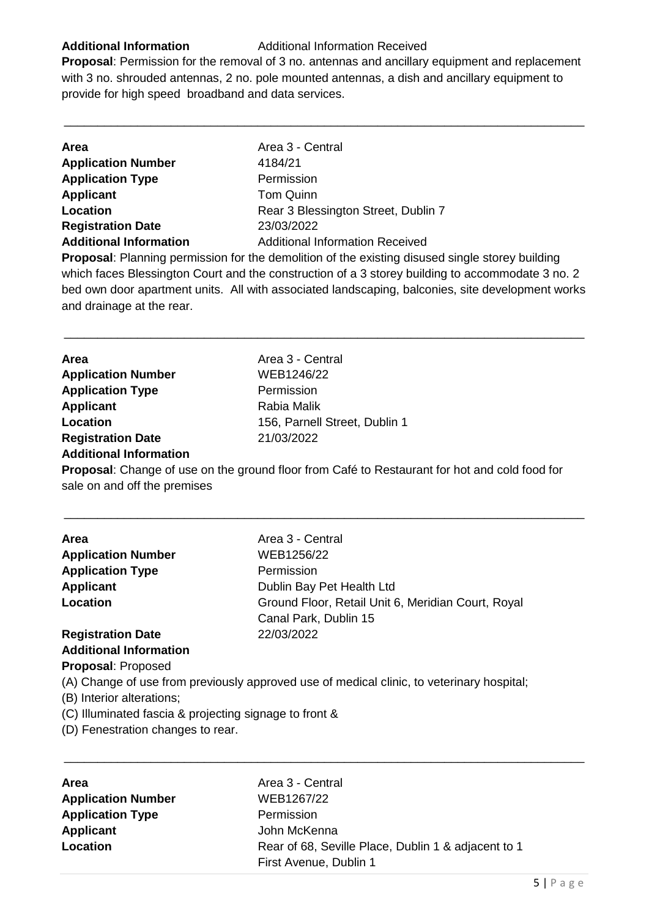#### **Additional Information** Additional Information Received

**Proposal**: Permission for the removal of 3 no. antennas and ancillary equipment and replacement with 3 no. shrouded antennas, 2 no. pole mounted antennas, a dish and ancillary equipment to provide for high speed broadband and data services.

\_\_\_\_\_\_\_\_\_\_\_\_\_\_\_\_\_\_\_\_\_\_\_\_\_\_\_\_\_\_\_\_\_\_\_\_\_\_\_\_\_\_\_\_\_\_\_\_\_\_\_\_\_\_\_\_\_\_\_\_\_\_\_\_\_\_\_\_\_\_\_\_\_\_\_\_\_\_

| <b>Area</b>                   | Area 3 - Central                       |
|-------------------------------|----------------------------------------|
| <b>Application Number</b>     | 4184/21                                |
| <b>Application Type</b>       | Permission                             |
| <b>Applicant</b>              | <b>Tom Quinn</b>                       |
| Location                      | Rear 3 Blessington Street, Dublin 7    |
| <b>Registration Date</b>      | 23/03/2022                             |
| <b>Additional Information</b> | <b>Additional Information Received</b> |
|                               |                                        |

**Proposal**: Planning permission for the demolition of the existing disused single storey building which faces Blessington Court and the construction of a 3 storey building to accommodate 3 no. 2 bed own door apartment units. All with associated landscaping, balconies, site development works and drainage at the rear.

\_\_\_\_\_\_\_\_\_\_\_\_\_\_\_\_\_\_\_\_\_\_\_\_\_\_\_\_\_\_\_\_\_\_\_\_\_\_\_\_\_\_\_\_\_\_\_\_\_\_\_\_\_\_\_\_\_\_\_\_\_\_\_\_\_\_\_\_\_\_\_\_\_\_\_\_\_\_

| Area                          | Area 3 - Central              |
|-------------------------------|-------------------------------|
| <b>Application Number</b>     | WEB1246/22                    |
| <b>Application Type</b>       | Permission                    |
| <b>Applicant</b>              | Rabia Malik                   |
| Location                      | 156, Parnell Street, Dublin 1 |
| <b>Registration Date</b>      | 21/03/2022                    |
| <b>Additional Information</b> |                               |

**Proposal**: Change of use on the ground floor from Café to Restaurant for hot and cold food for sale on and off the premises

\_\_\_\_\_\_\_\_\_\_\_\_\_\_\_\_\_\_\_\_\_\_\_\_\_\_\_\_\_\_\_\_\_\_\_\_\_\_\_\_\_\_\_\_\_\_\_\_\_\_\_\_\_\_\_\_\_\_\_\_\_\_\_\_\_\_\_\_\_\_\_\_\_\_\_\_\_\_

| Area                          | Area 3 - Central                                   |
|-------------------------------|----------------------------------------------------|
| <b>Application Number</b>     | WEB1256/22                                         |
| <b>Application Type</b>       | Permission                                         |
| <b>Applicant</b>              | Dublin Bay Pet Health Ltd                          |
| Location                      | Ground Floor, Retail Unit 6, Meridian Court, Royal |
|                               | Canal Park, Dublin 15                              |
| <b>Registration Date</b>      | 22/03/2022                                         |
| <b>Additional Information</b> |                                                    |

**Proposal**: Proposed

(A) Change of use from previously approved use of medical clinic, to veterinary hospital;

(B) Interior alterations;

(C) Illuminated fascia & projecting signage to front &

(D) Fenestration changes to rear.

| <b>Area</b>               | Area 3 - Central                                    |
|---------------------------|-----------------------------------------------------|
| <b>Application Number</b> | WEB1267/22                                          |
| <b>Application Type</b>   | Permission                                          |
| <b>Applicant</b>          | John McKenna                                        |
| Location                  | Rear of 68, Seville Place, Dublin 1 & adjacent to 1 |
|                           | First Avenue, Dublin 1                              |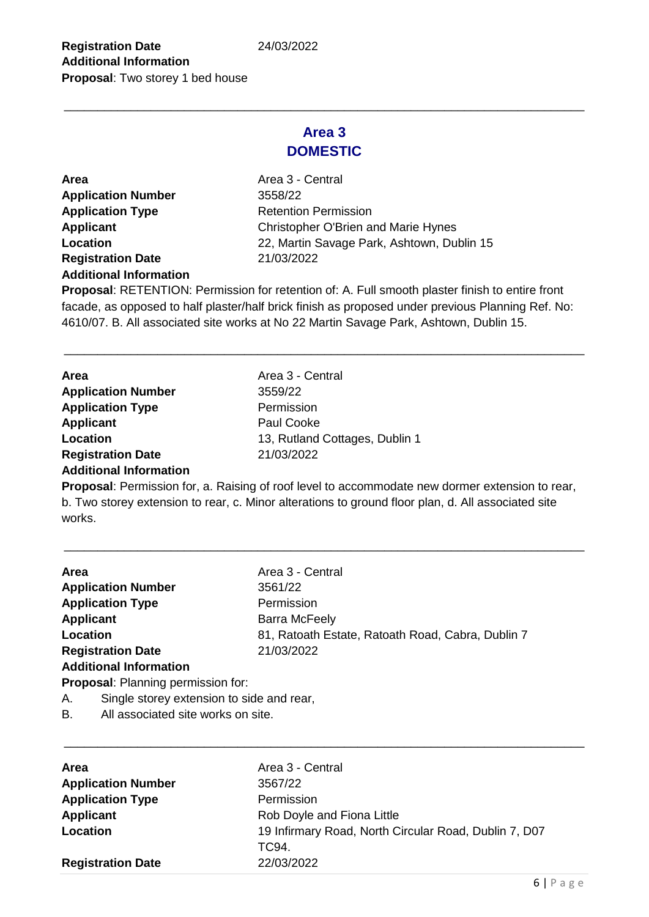### **Area 3 DOMESTIC**

\_\_\_\_\_\_\_\_\_\_\_\_\_\_\_\_\_\_\_\_\_\_\_\_\_\_\_\_\_\_\_\_\_\_\_\_\_\_\_\_\_\_\_\_\_\_\_\_\_\_\_\_\_\_\_\_\_\_\_\_\_\_\_\_\_\_\_\_\_\_\_\_\_\_\_\_\_\_

**Area Area 3 - Central Application Number** 3558/22 **Application Type** Retention Permission **Registration Date** 21/03/2022 **Additional Information**

**Applicant** Christopher O'Brien and Marie Hynes **Location** 22, Martin Savage Park, Ashtown, Dublin 15

**Proposal**: RETENTION: Permission for retention of: A. Full smooth plaster finish to entire front facade, as opposed to half plaster/half brick finish as proposed under previous Planning Ref. No: 4610/07. B. All associated site works at No 22 Martin Savage Park, Ashtown, Dublin 15.

\_\_\_\_\_\_\_\_\_\_\_\_\_\_\_\_\_\_\_\_\_\_\_\_\_\_\_\_\_\_\_\_\_\_\_\_\_\_\_\_\_\_\_\_\_\_\_\_\_\_\_\_\_\_\_\_\_\_\_\_\_\_\_\_\_\_\_\_\_\_\_\_\_\_\_\_\_\_

| Area                      | Area 3 - Central               |
|---------------------------|--------------------------------|
| <b>Application Number</b> | 3559/22                        |
| <b>Application Type</b>   | Permission                     |
| <b>Applicant</b>          | Paul Cooke                     |
| Location                  | 13, Rutland Cottages, Dublin 1 |
| <b>Registration Date</b>  | 21/03/2022                     |
| Additional Information    |                                |

#### **Additional Information**

**Proposal**: Permission for, a. Raising of roof level to accommodate new dormer extension to rear, b. Two storey extension to rear, c. Minor alterations to ground floor plan, d. All associated site works.

\_\_\_\_\_\_\_\_\_\_\_\_\_\_\_\_\_\_\_\_\_\_\_\_\_\_\_\_\_\_\_\_\_\_\_\_\_\_\_\_\_\_\_\_\_\_\_\_\_\_\_\_\_\_\_\_\_\_\_\_\_\_\_\_\_\_\_\_\_\_\_\_\_\_\_\_\_\_

| Area             |                                           | Area 3 - Central                                  |
|------------------|-------------------------------------------|---------------------------------------------------|
|                  | <b>Application Number</b>                 | 3561/22                                           |
|                  | <b>Application Type</b>                   | Permission                                        |
| <b>Applicant</b> |                                           | <b>Barra McFeely</b>                              |
| Location         |                                           | 81, Ratoath Estate, Ratoath Road, Cabra, Dublin 7 |
|                  | <b>Registration Date</b>                  | 21/03/2022                                        |
|                  | <b>Additional Information</b>             |                                                   |
|                  | <b>Proposal:</b> Planning permission for: |                                                   |
| А.               | Single storey extension to side and rear, |                                                   |
| <b>B.</b>        | All associated site works on site.        |                                                   |

| Area                      | Area 3 - Central                                      |
|---------------------------|-------------------------------------------------------|
| <b>Application Number</b> | 3567/22                                               |
| <b>Application Type</b>   | Permission                                            |
| <b>Applicant</b>          | Rob Doyle and Fiona Little                            |
| Location                  | 19 Infirmary Road, North Circular Road, Dublin 7, D07 |
|                           | TC94.                                                 |
| <b>Registration Date</b>  | 22/03/2022                                            |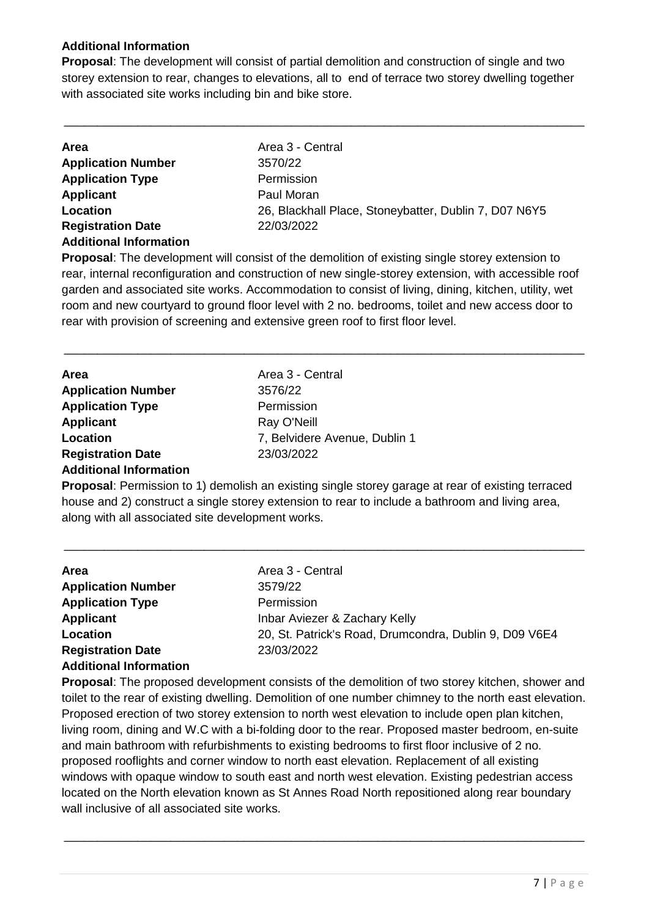#### **Additional Information**

**Proposal**: The development will consist of partial demolition and construction of single and two storey extension to rear, changes to elevations, all to end of terrace two storey dwelling together with associated site works including bin and bike store.

\_\_\_\_\_\_\_\_\_\_\_\_\_\_\_\_\_\_\_\_\_\_\_\_\_\_\_\_\_\_\_\_\_\_\_\_\_\_\_\_\_\_\_\_\_\_\_\_\_\_\_\_\_\_\_\_\_\_\_\_\_\_\_\_\_\_\_\_\_\_\_\_\_\_\_\_\_\_

| <b>Area</b>                   | Area 3 - Central                                      |
|-------------------------------|-------------------------------------------------------|
| <b>Application Number</b>     | 3570/22                                               |
| <b>Application Type</b>       | Permission                                            |
| Applicant                     | Paul Moran                                            |
| Location                      | 26, Blackhall Place, Stoneybatter, Dublin 7, D07 N6Y5 |
| <b>Registration Date</b>      | 22/03/2022                                            |
| <b>Additional Information</b> |                                                       |

**Proposal**: The development will consist of the demolition of existing single storey extension to rear, internal reconfiguration and construction of new single-storey extension, with accessible roof garden and associated site works. Accommodation to consist of living, dining, kitchen, utility, wet room and new courtyard to ground floor level with 2 no. bedrooms, toilet and new access door to rear with provision of screening and extensive green roof to first floor level.

\_\_\_\_\_\_\_\_\_\_\_\_\_\_\_\_\_\_\_\_\_\_\_\_\_\_\_\_\_\_\_\_\_\_\_\_\_\_\_\_\_\_\_\_\_\_\_\_\_\_\_\_\_\_\_\_\_\_\_\_\_\_\_\_\_\_\_\_\_\_\_\_\_\_\_\_\_\_

| <b>Area</b>                   | Area 3 - Central              |
|-------------------------------|-------------------------------|
| <b>Application Number</b>     | 3576/22                       |
| <b>Application Type</b>       | Permission                    |
| <b>Applicant</b>              | Ray O'Neill                   |
| Location                      | 7, Belvidere Avenue, Dublin 1 |
| <b>Registration Date</b>      | 23/03/2022                    |
| <b>Additional Information</b> |                               |

**Proposal**: Permission to 1) demolish an existing single storey garage at rear of existing terraced house and 2) construct a single storey extension to rear to include a bathroom and living area, along with all associated site development works.

\_\_\_\_\_\_\_\_\_\_\_\_\_\_\_\_\_\_\_\_\_\_\_\_\_\_\_\_\_\_\_\_\_\_\_\_\_\_\_\_\_\_\_\_\_\_\_\_\_\_\_\_\_\_\_\_\_\_\_\_\_\_\_\_\_\_\_\_\_\_\_\_\_\_\_\_\_\_

| Area                          | Area 3 - Central                                       |
|-------------------------------|--------------------------------------------------------|
| <b>Application Number</b>     | 3579/22                                                |
| <b>Application Type</b>       | Permission                                             |
| <b>Applicant</b>              | Inbar Aviezer & Zachary Kelly                          |
| Location                      | 20, St. Patrick's Road, Drumcondra, Dublin 9, D09 V6E4 |
| <b>Registration Date</b>      | 23/03/2022                                             |
| <b>Additional Information</b> |                                                        |
|                               |                                                        |

**Proposal**: The proposed development consists of the demolition of two storey kitchen, shower and toilet to the rear of existing dwelling. Demolition of one number chimney to the north east elevation. Proposed erection of two storey extension to north west elevation to include open plan kitchen, living room, dining and W.C with a bi-folding door to the rear. Proposed master bedroom, en-suite and main bathroom with refurbishments to existing bedrooms to first floor inclusive of 2 no. proposed rooflights and corner window to north east elevation. Replacement of all existing windows with opaque window to south east and north west elevation. Existing pedestrian access located on the North elevation known as St Annes Road North repositioned along rear boundary wall inclusive of all associated site works.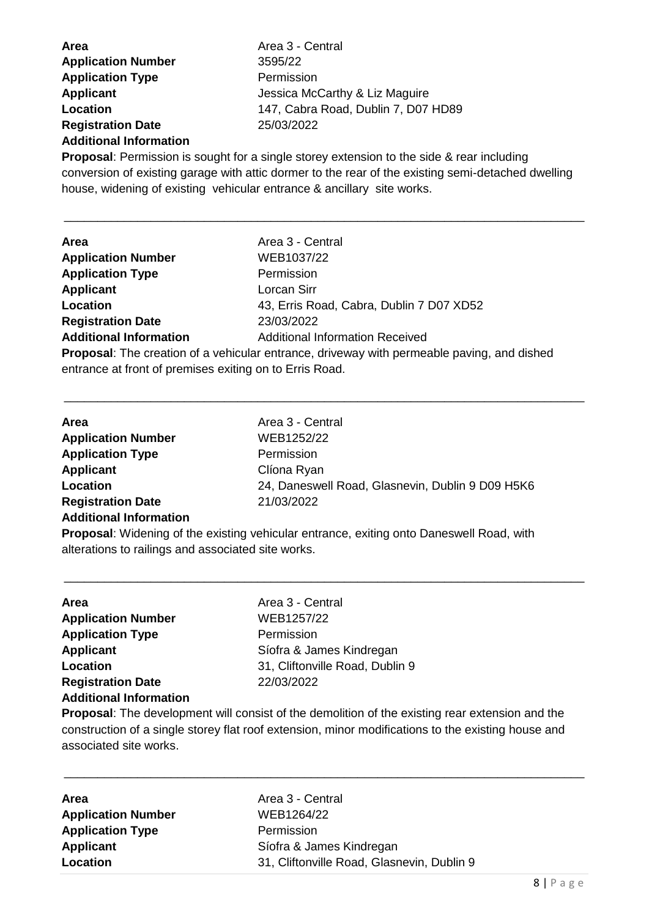| Area                          | Area 3 - Central                    |
|-------------------------------|-------------------------------------|
| <b>Application Number</b>     | 3595/22                             |
| <b>Application Type</b>       | Permission                          |
| <b>Applicant</b>              | Jessica McCarthy & Liz Maguire      |
| Location                      | 147, Cabra Road, Dublin 7, D07 HD89 |
| <b>Registration Date</b>      | 25/03/2022                          |
| <b>Additional Information</b> |                                     |

**Proposal**: Permission is sought for a single storey extension to the side & rear including conversion of existing garage with attic dormer to the rear of the existing semi-detached dwelling house, widening of existing vehicular entrance & ancillary site works.

\_\_\_\_\_\_\_\_\_\_\_\_\_\_\_\_\_\_\_\_\_\_\_\_\_\_\_\_\_\_\_\_\_\_\_\_\_\_\_\_\_\_\_\_\_\_\_\_\_\_\_\_\_\_\_\_\_\_\_\_\_\_\_\_\_\_\_\_\_\_\_\_\_\_\_\_\_\_

| <b>Area</b>                   | Area 3 - Central                         |
|-------------------------------|------------------------------------------|
| <b>Application Number</b>     | WEB1037/22                               |
| <b>Application Type</b>       | Permission                               |
| Applicant                     | Lorcan Sirr                              |
| Location                      | 43, Erris Road, Cabra, Dublin 7 D07 XD52 |
| <b>Registration Date</b>      | 23/03/2022                               |
| <b>Additional Information</b> | <b>Additional Information Received</b>   |

**Proposal**: The creation of a vehicular entrance, driveway with permeable paving, and dished entrance at front of premises exiting on to Erris Road.

\_\_\_\_\_\_\_\_\_\_\_\_\_\_\_\_\_\_\_\_\_\_\_\_\_\_\_\_\_\_\_\_\_\_\_\_\_\_\_\_\_\_\_\_\_\_\_\_\_\_\_\_\_\_\_\_\_\_\_\_\_\_\_\_\_\_\_\_\_\_\_\_\_\_\_\_\_\_

| <b>Area</b>                   | Area 3 - Central                                 |
|-------------------------------|--------------------------------------------------|
| <b>Application Number</b>     | WEB1252/22                                       |
| <b>Application Type</b>       | Permission                                       |
| <b>Applicant</b>              | Clíona Ryan                                      |
| Location                      | 24, Daneswell Road, Glasnevin, Dublin 9 D09 H5K6 |
| <b>Registration Date</b>      | 21/03/2022                                       |
| <b>Additional Information</b> |                                                  |
|                               |                                                  |

**Proposal**: Widening of the existing vehicular entrance, exiting onto Daneswell Road, with alterations to railings and associated site works.

\_\_\_\_\_\_\_\_\_\_\_\_\_\_\_\_\_\_\_\_\_\_\_\_\_\_\_\_\_\_\_\_\_\_\_\_\_\_\_\_\_\_\_\_\_\_\_\_\_\_\_\_\_\_\_\_\_\_\_\_\_\_\_\_\_\_\_\_\_\_\_\_\_\_\_\_\_\_

| Area                          | Area 3 - Central                |
|-------------------------------|---------------------------------|
| <b>Application Number</b>     | WEB1257/22                      |
| <b>Application Type</b>       | Permission                      |
| <b>Applicant</b>              | Síofra & James Kindregan        |
| Location                      | 31, Cliftonville Road, Dublin 9 |
| <b>Registration Date</b>      | 22/03/2022                      |
| <b>Additional Information</b> |                                 |
|                               |                                 |

**Proposal**: The development will consist of the demolition of the existing rear extension and the construction of a single storey flat roof extension, minor modifications to the existing house and associated site works.

| <b>Area</b>               | Area 3 - Central                           |
|---------------------------|--------------------------------------------|
| <b>Application Number</b> | WEB1264/22                                 |
| <b>Application Type</b>   | Permission                                 |
| <b>Applicant</b>          | Síofra & James Kindregan                   |
| Location                  | 31, Cliftonville Road, Glasnevin, Dublin 9 |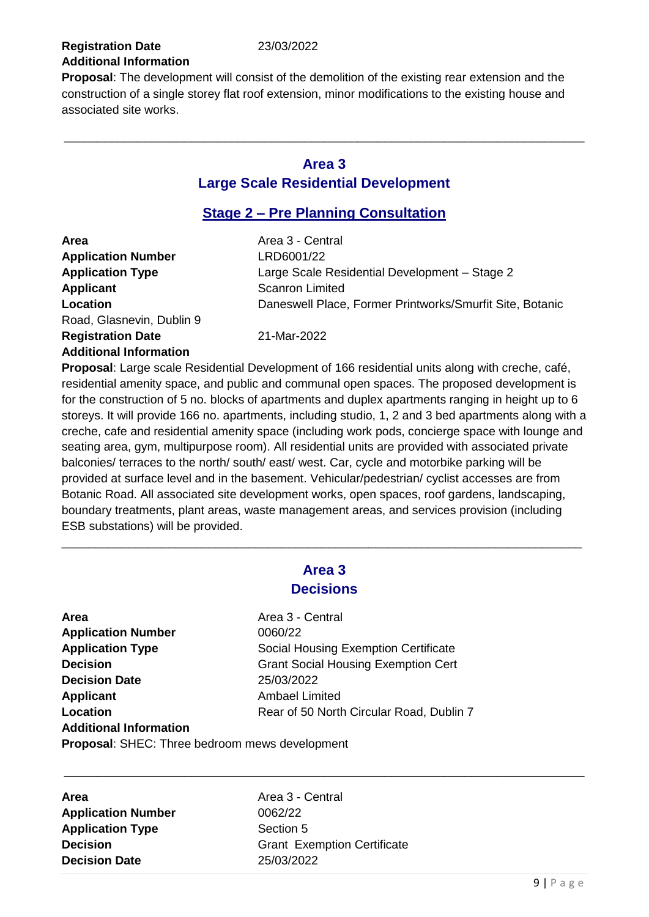#### **Registration Date** 23/03/2022 **Additional Information**

**Proposal**: The development will consist of the demolition of the existing rear extension and the construction of a single storey flat roof extension, minor modifications to the existing house and associated site works.

#### **Area 3 Large Scale Residential Development**

\_\_\_\_\_\_\_\_\_\_\_\_\_\_\_\_\_\_\_\_\_\_\_\_\_\_\_\_\_\_\_\_\_\_\_\_\_\_\_\_\_\_\_\_\_\_\_\_\_\_\_\_\_\_\_\_\_\_\_\_\_\_\_\_\_\_\_\_\_\_\_\_\_\_\_\_\_\_

#### **Stage 2 – Pre Planning Consultation**

| <b>Area</b>                   | Area 3 - Central                                         |
|-------------------------------|----------------------------------------------------------|
| <b>Application Number</b>     | LRD6001/22                                               |
| <b>Application Type</b>       | Large Scale Residential Development - Stage 2            |
| <b>Applicant</b>              | <b>Scanron Limited</b>                                   |
| Location                      | Daneswell Place, Former Printworks/Smurfit Site, Botanic |
| Road, Glasnevin, Dublin 9     |                                                          |
| <b>Registration Date</b>      | 21-Mar-2022                                              |
| <b>Additional Information</b> |                                                          |

**Proposal**: Large scale Residential Development of 166 residential units along with creche, café, residential amenity space, and public and communal open spaces. The proposed development is for the construction of 5 no. blocks of apartments and duplex apartments ranging in height up to 6 storeys. It will provide 166 no. apartments, including studio, 1, 2 and 3 bed apartments along with a creche, cafe and residential amenity space (including work pods, concierge space with lounge and seating area, gym, multipurpose room). All residential units are provided with associated private balconies/ terraces to the north/ south/ east/ west. Car, cycle and motorbike parking will be provided at surface level and in the basement. Vehicular/pedestrian/ cyclist accesses are from Botanic Road. All associated site development works, open spaces, roof gardens, landscaping, boundary treatments, plant areas, waste management areas, and services provision (including ESB substations) will be provided.

### **Area 3 Decisions**

\_\_\_\_\_\_\_\_\_\_\_\_\_\_\_\_\_\_\_\_\_\_\_\_\_\_\_\_\_\_\_\_\_\_\_\_\_\_\_\_\_\_\_\_\_\_\_\_\_\_\_\_\_\_\_\_\_\_\_\_\_\_\_\_\_\_\_\_\_\_\_\_\_\_\_\_\_\_

**Area** Area 3 - Central **Application Number** 0060/22 **Application Type** Social Housing Exemption Certificate **Decision** Grant Social Housing Exemption Cert **Decision Date** 25/03/2022 **Applicant** Ambael Limited **Location Rear of 50 North Circular Road, Dublin 7 Additional Information Proposal**: SHEC: Three bedroom mews development

**Area Area** Area 3 - Central **Application Number** 0062/22 **Application Type** Section 5 **Decision Date** 25/03/2022

**Decision** Grant Exemption Certificate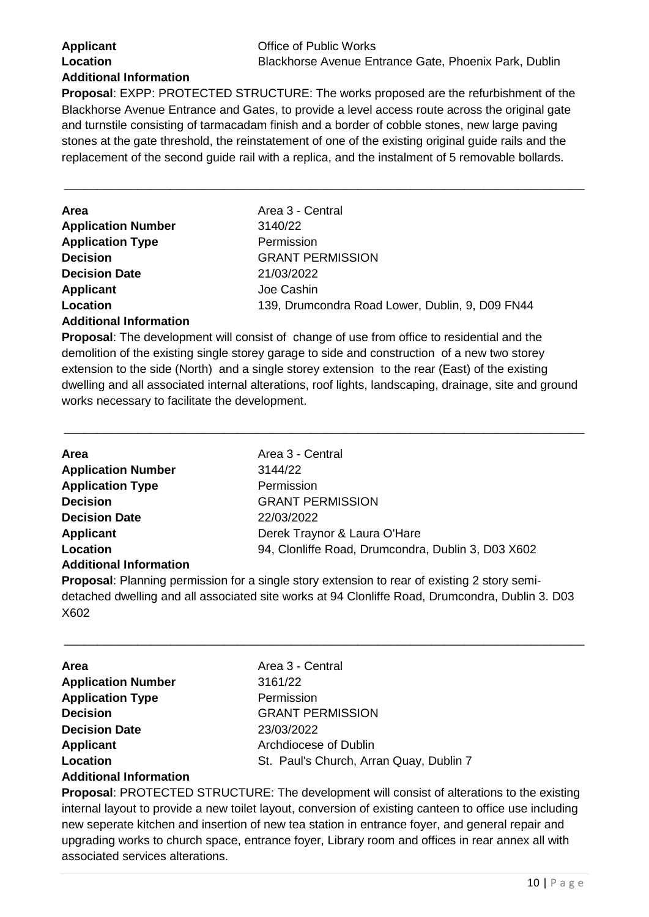### **Applicant Applicant Office of Public Works Additional Information**

**Proposal**: EXPP: PROTECTED STRUCTURE: The works proposed are the refurbishment of the Blackhorse Avenue Entrance and Gates, to provide a level access route across the original gate and turnstile consisting of tarmacadam finish and a border of cobble stones, new large paving stones at the gate threshold, the reinstatement of one of the existing original guide rails and the replacement of the second guide rail with a replica, and the instalment of 5 removable bollards.

\_\_\_\_\_\_\_\_\_\_\_\_\_\_\_\_\_\_\_\_\_\_\_\_\_\_\_\_\_\_\_\_\_\_\_\_\_\_\_\_\_\_\_\_\_\_\_\_\_\_\_\_\_\_\_\_\_\_\_\_\_\_\_\_\_\_\_\_\_\_\_\_\_\_\_\_\_\_

| <b>Area</b>               | Area 3 - Central                                |
|---------------------------|-------------------------------------------------|
| <b>Application Number</b> | 3140/22                                         |
| <b>Application Type</b>   | Permission                                      |
| <b>Decision</b>           | <b>GRANT PERMISSION</b>                         |
| <b>Decision Date</b>      | 21/03/2022                                      |
| <b>Applicant</b>          | Joe Cashin                                      |
| Location                  | 139, Drumcondra Road Lower, Dublin, 9, D09 FN44 |
|                           |                                                 |

#### **Additional Information**

**Proposal**: The development will consist of change of use from office to residential and the demolition of the existing single storey garage to side and construction of a new two storey extension to the side (North) and a single storey extension to the rear (East) of the existing dwelling and all associated internal alterations, roof lights, landscaping, drainage, site and ground works necessary to facilitate the development.

\_\_\_\_\_\_\_\_\_\_\_\_\_\_\_\_\_\_\_\_\_\_\_\_\_\_\_\_\_\_\_\_\_\_\_\_\_\_\_\_\_\_\_\_\_\_\_\_\_\_\_\_\_\_\_\_\_\_\_\_\_\_\_\_\_\_\_\_\_\_\_\_\_\_\_\_\_\_

| Area                          | Area 3 - Central                                   |
|-------------------------------|----------------------------------------------------|
| <b>Application Number</b>     | 3144/22                                            |
| <b>Application Type</b>       | Permission                                         |
| <b>Decision</b>               | <b>GRANT PERMISSION</b>                            |
| <b>Decision Date</b>          | 22/03/2022                                         |
| <b>Applicant</b>              | Derek Traynor & Laura O'Hare                       |
| Location                      | 94, Clonliffe Road, Drumcondra, Dublin 3, D03 X602 |
| <b>Additional Information</b> |                                                    |

**Proposal**: Planning permission for a single story extension to rear of existing 2 story semidetached dwelling and all associated site works at 94 Clonliffe Road, Drumcondra, Dublin 3. D03 X602

\_\_\_\_\_\_\_\_\_\_\_\_\_\_\_\_\_\_\_\_\_\_\_\_\_\_\_\_\_\_\_\_\_\_\_\_\_\_\_\_\_\_\_\_\_\_\_\_\_\_\_\_\_\_\_\_\_\_\_\_\_\_\_\_\_\_\_\_\_\_\_\_\_\_\_\_\_\_

| <b>Area</b>                   | Area 3 - Central                        |
|-------------------------------|-----------------------------------------|
| <b>Application Number</b>     | 3161/22                                 |
| <b>Application Type</b>       | Permission                              |
| <b>Decision</b>               | <b>GRANT PERMISSION</b>                 |
| <b>Decision Date</b>          | 23/03/2022                              |
| <b>Applicant</b>              | Archdiocese of Dublin                   |
| Location                      | St. Paul's Church, Arran Quay, Dublin 7 |
| <b>Additional Information</b> |                                         |

#### **Proposal**: PROTECTED STRUCTURE: The development will consist of alterations to the existing internal layout to provide a new toilet layout, conversion of existing canteen to office use including new seperate kitchen and insertion of new tea station in entrance foyer, and general repair and upgrading works to church space, entrance foyer, Library room and offices in rear annex all with associated services alterations.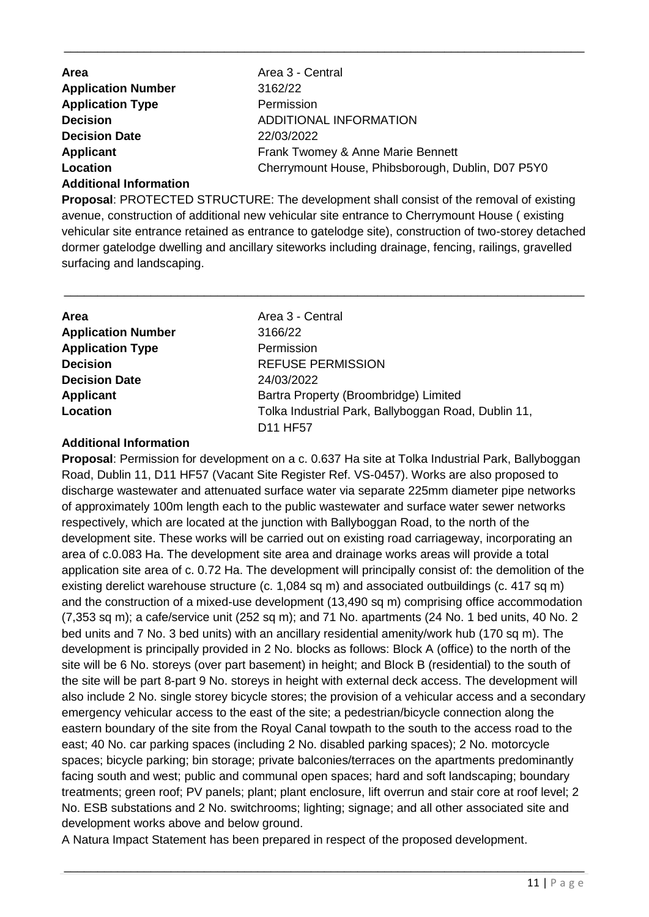| <b>Area</b>                   | Area 3 - Central                                  |
|-------------------------------|---------------------------------------------------|
| <b>Application Number</b>     | 3162/22                                           |
| <b>Application Type</b>       | Permission                                        |
| <b>Decision</b>               | ADDITIONAL INFORMATION                            |
| <b>Decision Date</b>          | 22/03/2022                                        |
| Applicant                     | Frank Twomey & Anne Marie Bennett                 |
| Location                      | Cherrymount House, Phibsborough, Dublin, D07 P5Y0 |
| <b>Additional Information</b> |                                                   |

\_\_\_\_\_\_\_\_\_\_\_\_\_\_\_\_\_\_\_\_\_\_\_\_\_\_\_\_\_\_\_\_\_\_\_\_\_\_\_\_\_\_\_\_\_\_\_\_\_\_\_\_\_\_\_\_\_\_\_\_\_\_\_\_\_\_\_\_\_\_\_\_\_\_\_\_\_\_

**Proposal**: PROTECTED STRUCTURE: The development shall consist of the removal of existing avenue, construction of additional new vehicular site entrance to Cherrymount House ( existing vehicular site entrance retained as entrance to gatelodge site), construction of two-storey detached dormer gatelodge dwelling and ancillary siteworks including drainage, fencing, railings, gravelled surfacing and landscaping.

\_\_\_\_\_\_\_\_\_\_\_\_\_\_\_\_\_\_\_\_\_\_\_\_\_\_\_\_\_\_\_\_\_\_\_\_\_\_\_\_\_\_\_\_\_\_\_\_\_\_\_\_\_\_\_\_\_\_\_\_\_\_\_\_\_\_\_\_\_\_\_\_\_\_\_\_\_\_

| Area                      | Area 3 - Central                                    |
|---------------------------|-----------------------------------------------------|
| <b>Application Number</b> | 3166/22                                             |
| <b>Application Type</b>   | Permission                                          |
| <b>Decision</b>           | <b>REFUSE PERMISSION</b>                            |
| <b>Decision Date</b>      | 24/03/2022                                          |
| <b>Applicant</b>          | Bartra Property (Broombridge) Limited               |
| Location                  | Tolka Industrial Park, Ballyboggan Road, Dublin 11, |
|                           | D11 HF57                                            |

#### **Additional Information**

**Proposal**: Permission for development on a c. 0.637 Ha site at Tolka Industrial Park, Ballyboggan Road, Dublin 11, D11 HF57 (Vacant Site Register Ref. VS-0457). Works are also proposed to discharge wastewater and attenuated surface water via separate 225mm diameter pipe networks of approximately 100m length each to the public wastewater and surface water sewer networks respectively, which are located at the junction with Ballyboggan Road, to the north of the development site. These works will be carried out on existing road carriageway, incorporating an area of c.0.083 Ha. The development site area and drainage works areas will provide a total application site area of c. 0.72 Ha. The development will principally consist of: the demolition of the existing derelict warehouse structure (c. 1,084 sq m) and associated outbuildings (c. 417 sq m) and the construction of a mixed-use development (13,490 sq m) comprising office accommodation (7,353 sq m); a cafe/service unit (252 sq m); and 71 No. apartments (24 No. 1 bed units, 40 No. 2 bed units and 7 No. 3 bed units) with an ancillary residential amenity/work hub (170 sq m). The development is principally provided in 2 No. blocks as follows: Block A (office) to the north of the site will be 6 No. storeys (over part basement) in height; and Block B (residential) to the south of the site will be part 8-part 9 No. storeys in height with external deck access. The development will also include 2 No. single storey bicycle stores; the provision of a vehicular access and a secondary emergency vehicular access to the east of the site; a pedestrian/bicycle connection along the eastern boundary of the site from the Royal Canal towpath to the south to the access road to the east; 40 No. car parking spaces (including 2 No. disabled parking spaces); 2 No. motorcycle spaces; bicycle parking; bin storage; private balconies/terraces on the apartments predominantly facing south and west; public and communal open spaces; hard and soft landscaping; boundary treatments; green roof; PV panels; plant; plant enclosure, lift overrun and stair core at roof level; 2 No. ESB substations and 2 No. switchrooms; lighting; signage; and all other associated site and development works above and below ground.

A Natura Impact Statement has been prepared in respect of the proposed development.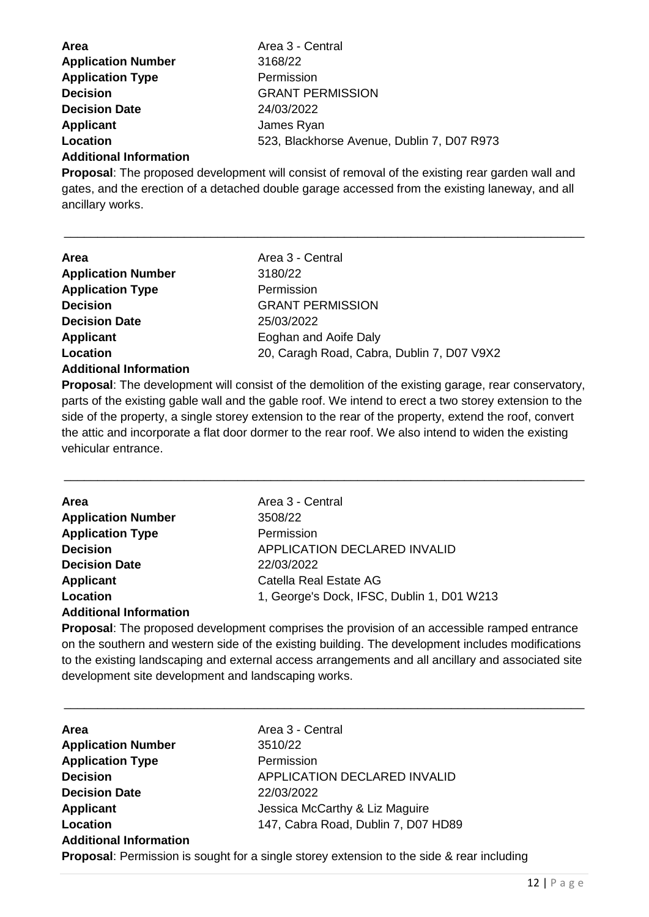| <b>Area</b>               | Area 3 - Central                           |
|---------------------------|--------------------------------------------|
| <b>Application Number</b> | 3168/22                                    |
| <b>Application Type</b>   | Permission                                 |
| <b>Decision</b>           | <b>GRANT PERMISSION</b>                    |
| <b>Decision Date</b>      | 24/03/2022                                 |
| Applicant                 | James Ryan                                 |
| Location                  | 523, Blackhorse Avenue, Dublin 7, D07 R973 |
|                           |                                            |

#### **Additional Information**

**Proposal**: The proposed development will consist of removal of the existing rear garden wall and gates, and the erection of a detached double garage accessed from the existing laneway, and all ancillary works.

\_\_\_\_\_\_\_\_\_\_\_\_\_\_\_\_\_\_\_\_\_\_\_\_\_\_\_\_\_\_\_\_\_\_\_\_\_\_\_\_\_\_\_\_\_\_\_\_\_\_\_\_\_\_\_\_\_\_\_\_\_\_\_\_\_\_\_\_\_\_\_\_\_\_\_\_\_\_

| <b>Area</b>                   | Area 3 - Central                           |
|-------------------------------|--------------------------------------------|
| <b>Application Number</b>     | 3180/22                                    |
| <b>Application Type</b>       | Permission                                 |
| <b>Decision</b>               | <b>GRANT PERMISSION</b>                    |
| <b>Decision Date</b>          | 25/03/2022                                 |
| Applicant                     | Eoghan and Aoife Daly                      |
| Location                      | 20, Caragh Road, Cabra, Dublin 7, D07 V9X2 |
| <b>Additional Information</b> |                                            |

**Proposal**: The development will consist of the demolition of the existing garage, rear conservatory, parts of the existing gable wall and the gable roof. We intend to erect a two storey extension to the side of the property, a single storey extension to the rear of the property, extend the roof, convert the attic and incorporate a flat door dormer to the rear roof. We also intend to widen the existing vehicular entrance.

\_\_\_\_\_\_\_\_\_\_\_\_\_\_\_\_\_\_\_\_\_\_\_\_\_\_\_\_\_\_\_\_\_\_\_\_\_\_\_\_\_\_\_\_\_\_\_\_\_\_\_\_\_\_\_\_\_\_\_\_\_\_\_\_\_\_\_\_\_\_\_\_\_\_\_\_\_\_

| <b>Area</b>                             | Area 3 - Central                           |
|-----------------------------------------|--------------------------------------------|
| <b>Application Number</b>               | 3508/22                                    |
| <b>Application Type</b>                 | Permission                                 |
| <b>Decision</b>                         | <b>APPLICATION DECLARED INVALID</b>        |
| <b>Decision Date</b>                    | 22/03/2022                                 |
| <b>Applicant</b>                        | Catella Real Estate AG                     |
| Location                                | 1, George's Dock, IFSC, Dublin 1, D01 W213 |
| المتمازع ومستمركون المتستم المام الترام |                                            |

#### **Additional Information**

**Proposal**: The proposed development comprises the provision of an accessible ramped entrance on the southern and western side of the existing building. The development includes modifications to the existing landscaping and external access arrangements and all ancillary and associated site development site development and landscaping works.

| Area                          | Area 3 - Central                                                                                 |
|-------------------------------|--------------------------------------------------------------------------------------------------|
| <b>Application Number</b>     | 3510/22                                                                                          |
| <b>Application Type</b>       | Permission                                                                                       |
| <b>Decision</b>               | <b>APPLICATION DECLARED INVALID</b>                                                              |
| <b>Decision Date</b>          | 22/03/2022                                                                                       |
| <b>Applicant</b>              | Jessica McCarthy & Liz Maguire                                                                   |
| Location                      | 147, Cabra Road, Dublin 7, D07 HD89                                                              |
| <b>Additional Information</b> |                                                                                                  |
|                               | <b>Proposal:</b> Permission is sought for a single storey extension to the side & rear including |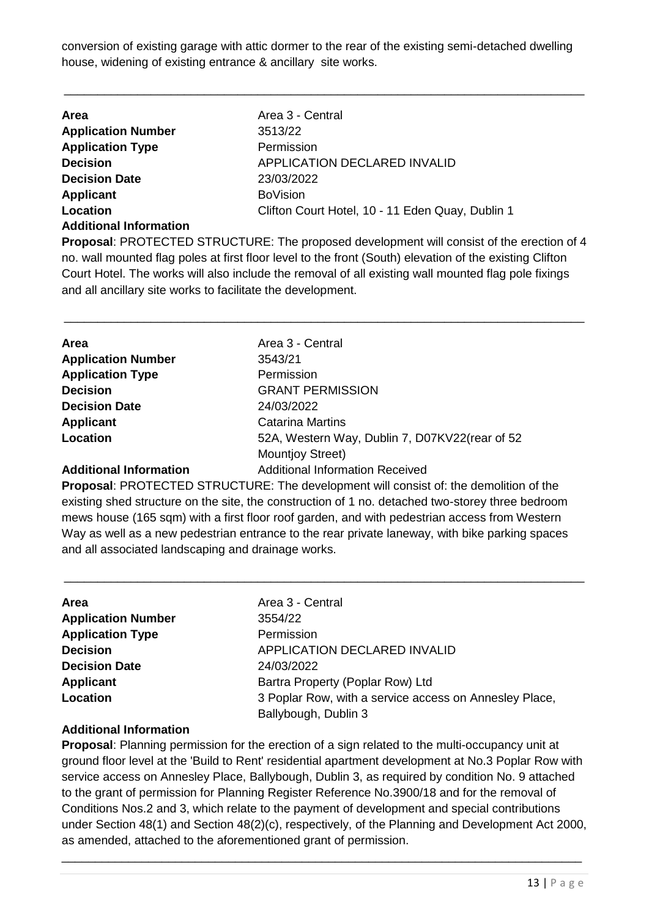conversion of existing garage with attic dormer to the rear of the existing semi-detached dwelling house, widening of existing entrance & ancillary site works.

\_\_\_\_\_\_\_\_\_\_\_\_\_\_\_\_\_\_\_\_\_\_\_\_\_\_\_\_\_\_\_\_\_\_\_\_\_\_\_\_\_\_\_\_\_\_\_\_\_\_\_\_\_\_\_\_\_\_\_\_\_\_\_\_\_\_\_\_\_\_\_\_\_\_\_\_\_\_

| <b>Area</b>                   | Area 3 - Central                                 |
|-------------------------------|--------------------------------------------------|
| <b>Application Number</b>     | 3513/22                                          |
| <b>Application Type</b>       | Permission                                       |
| <b>Decision</b>               | APPLICATION DECLARED INVALID                     |
| <b>Decision Date</b>          | 23/03/2022                                       |
| Applicant                     | <b>BoVision</b>                                  |
| Location                      | Clifton Court Hotel, 10 - 11 Eden Quay, Dublin 1 |
| <b>Additional Information</b> |                                                  |

**Proposal**: PROTECTED STRUCTURE: The proposed development will consist of the erection of 4 no. wall mounted flag poles at first floor level to the front (South) elevation of the existing Clifton Court Hotel. The works will also include the removal of all existing wall mounted flag pole fixings and all ancillary site works to facilitate the development.

\_\_\_\_\_\_\_\_\_\_\_\_\_\_\_\_\_\_\_\_\_\_\_\_\_\_\_\_\_\_\_\_\_\_\_\_\_\_\_\_\_\_\_\_\_\_\_\_\_\_\_\_\_\_\_\_\_\_\_\_\_\_\_\_\_\_\_\_\_\_\_\_\_\_\_\_\_\_

| Area                          | Area 3 - Central                               |
|-------------------------------|------------------------------------------------|
| <b>Application Number</b>     | 3543/21                                        |
| <b>Application Type</b>       | Permission                                     |
| <b>Decision</b>               | <b>GRANT PERMISSION</b>                        |
| <b>Decision Date</b>          | 24/03/2022                                     |
| <b>Applicant</b>              | <b>Catarina Martins</b>                        |
| Location                      | 52A, Western Way, Dublin 7, D07KV22(rear of 52 |
|                               | <b>Mountjoy Street)</b>                        |
| <b>Additional Information</b> | <b>Additional Information Received</b>         |

**Proposal**: PROTECTED STRUCTURE: The development will consist of: the demolition of the existing shed structure on the site, the construction of 1 no. detached two-storey three bedroom mews house (165 sqm) with a first floor roof garden, and with pedestrian access from Western Way as well as a new pedestrian entrance to the rear private laneway, with bike parking spaces and all associated landscaping and drainage works.

\_\_\_\_\_\_\_\_\_\_\_\_\_\_\_\_\_\_\_\_\_\_\_\_\_\_\_\_\_\_\_\_\_\_\_\_\_\_\_\_\_\_\_\_\_\_\_\_\_\_\_\_\_\_\_\_\_\_\_\_\_\_\_\_\_\_\_\_\_\_\_\_\_\_\_\_\_\_

| Area 3 - Central                                       |
|--------------------------------------------------------|
| 3554/22                                                |
| Permission                                             |
| <b>APPLICATION DECLARED INVALID</b>                    |
| 24/03/2022                                             |
| Bartra Property (Poplar Row) Ltd                       |
| 3 Poplar Row, with a service access on Annesley Place, |
| Ballybough, Dublin 3                                   |
|                                                        |

#### **Additional Information**

**Proposal**: Planning permission for the erection of a sign related to the multi-occupancy unit at ground floor level at the 'Build to Rent' residential apartment development at No.3 Poplar Row with service access on Annesley Place, Ballybough, Dublin 3, as required by condition No. 9 attached to the grant of permission for Planning Register Reference No.3900/18 and for the removal of Conditions Nos.2 and 3, which relate to the payment of development and special contributions under Section 48(1) and Section 48(2)(c), respectively, of the Planning and Development Act 2000, as amended, attached to the aforementioned grant of permission.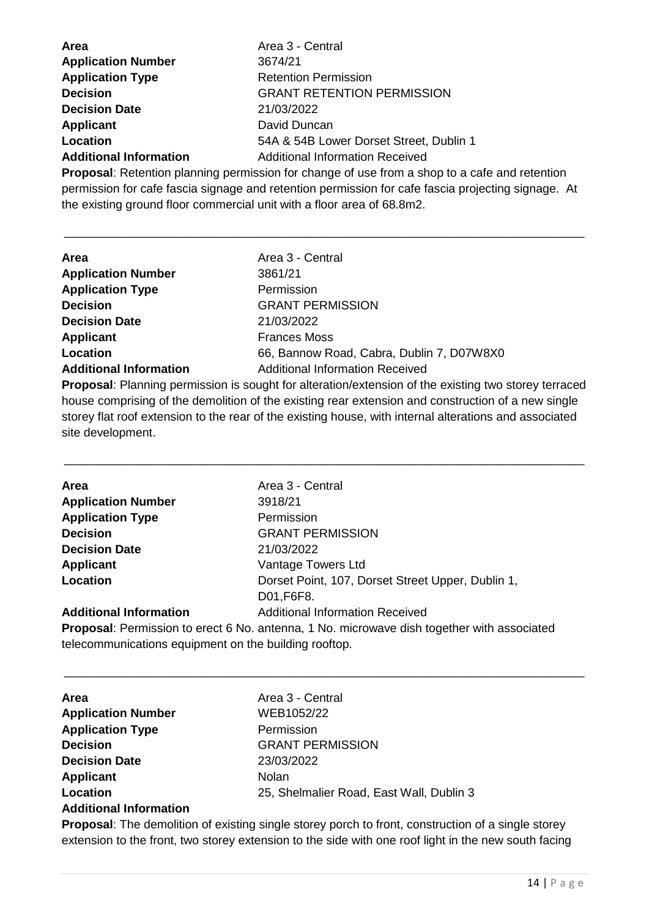| <b>Area</b>                   | Area 3 - Central                        |
|-------------------------------|-----------------------------------------|
| <b>Application Number</b>     | 3674/21                                 |
| <b>Application Type</b>       | <b>Retention Permission</b>             |
| <b>Decision</b>               | <b>GRANT RETENTION PERMISSION</b>       |
| <b>Decision Date</b>          | 21/03/2022                              |
| <b>Applicant</b>              | David Duncan                            |
| Location                      | 54A & 54B Lower Dorset Street, Dublin 1 |
| <b>Additional Information</b> | <b>Additional Information Received</b>  |

**Proposal**: Retention planning permission for change of use from a shop to a cafe and retention permission for cafe fascia signage and retention permission for cafe fascia projecting signage. At the existing ground floor commercial unit with a floor area of 68.8m2.

\_\_\_\_\_\_\_\_\_\_\_\_\_\_\_\_\_\_\_\_\_\_\_\_\_\_\_\_\_\_\_\_\_\_\_\_\_\_\_\_\_\_\_\_\_\_\_\_\_\_\_\_\_\_\_\_\_\_\_\_\_\_\_\_\_\_\_\_\_\_\_\_\_\_\_\_\_\_

| <b>Area</b>                   | Area 3 - Central                          |
|-------------------------------|-------------------------------------------|
| <b>Application Number</b>     | 3861/21                                   |
| <b>Application Type</b>       | Permission                                |
| <b>Decision</b>               | <b>GRANT PERMISSION</b>                   |
| <b>Decision Date</b>          | 21/03/2022                                |
| Applicant                     | <b>Frances Moss</b>                       |
| Location                      | 66, Bannow Road, Cabra, Dublin 7, D07W8X0 |
| <b>Additional Information</b> | <b>Additional Information Received</b>    |

**Proposal**: Planning permission is sought for alteration/extension of the existing two storey terraced house comprising of the demolition of the existing rear extension and construction of a new single storey flat roof extension to the rear of the existing house, with internal alterations and associated site development.

\_\_\_\_\_\_\_\_\_\_\_\_\_\_\_\_\_\_\_\_\_\_\_\_\_\_\_\_\_\_\_\_\_\_\_\_\_\_\_\_\_\_\_\_\_\_\_\_\_\_\_\_\_\_\_\_\_\_\_\_\_\_\_\_\_\_\_\_\_\_\_\_\_\_\_\_\_\_

| Area                          | Area 3 - Central                                                                               |
|-------------------------------|------------------------------------------------------------------------------------------------|
| <b>Application Number</b>     | 3918/21                                                                                        |
| <b>Application Type</b>       | Permission                                                                                     |
| <b>Decision</b>               | <b>GRANT PERMISSION</b>                                                                        |
| <b>Decision Date</b>          | 21/03/2022                                                                                     |
| <b>Applicant</b>              | Vantage Towers Ltd                                                                             |
| Location                      | Dorset Point, 107, Dorset Street Upper, Dublin 1,                                              |
|                               | D01, F6F8.                                                                                     |
| <b>Additional Information</b> | <b>Additional Information Received</b>                                                         |
|                               | Despessel. Demoleciae te sucet O Ne sutcures d. Ne pelaucuscus diele tenethenumithe seconderal |

**Proposal**: Permission to erect 6 No. antenna, 1 No. microwave dish together with associated telecommunications equipment on the building rooftop.

\_\_\_\_\_\_\_\_\_\_\_\_\_\_\_\_\_\_\_\_\_\_\_\_\_\_\_\_\_\_\_\_\_\_\_\_\_\_\_\_\_\_\_\_\_\_\_\_\_\_\_\_\_\_\_\_\_\_\_\_\_\_\_\_\_\_\_\_\_\_\_\_\_\_\_\_\_\_

| Area                          | Area 3 - Central                         |
|-------------------------------|------------------------------------------|
| <b>Application Number</b>     | WEB1052/22                               |
| <b>Application Type</b>       | Permission                               |
| <b>Decision</b>               | <b>GRANT PERMISSION</b>                  |
| <b>Decision Date</b>          | 23/03/2022                               |
| <b>Applicant</b>              | <b>Nolan</b>                             |
| Location                      | 25, Shelmalier Road, East Wall, Dublin 3 |
| <b>Additional Information</b> |                                          |

**Proposal**: The demolition of existing single storey porch to front, construction of a single storey extension to the front, two storey extension to the side with one roof light in the new south facing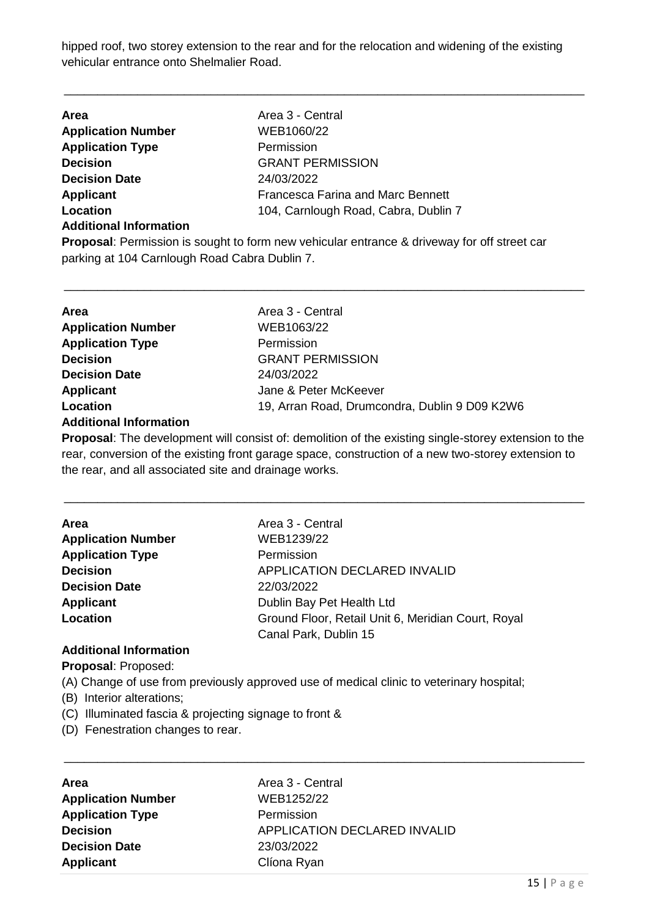hipped roof, two storey extension to the rear and for the relocation and widening of the existing vehicular entrance onto Shelmalier Road.

\_\_\_\_\_\_\_\_\_\_\_\_\_\_\_\_\_\_\_\_\_\_\_\_\_\_\_\_\_\_\_\_\_\_\_\_\_\_\_\_\_\_\_\_\_\_\_\_\_\_\_\_\_\_\_\_\_\_\_\_\_\_\_\_\_\_\_\_\_\_\_\_\_\_\_\_\_\_

| <b>Area</b>                   | Area 3 - Central                         |
|-------------------------------|------------------------------------------|
| <b>Application Number</b>     | WEB1060/22                               |
| <b>Application Type</b>       | Permission                               |
| <b>Decision</b>               | <b>GRANT PERMISSION</b>                  |
| <b>Decision Date</b>          | 24/03/2022                               |
| <b>Applicant</b>              | <b>Francesca Farina and Marc Bennett</b> |
| Location                      | 104, Carnlough Road, Cabra, Dublin 7     |
| <b>Additional Information</b> |                                          |

**Proposal**: Permission is sought to form new vehicular entrance & driveway for off street car parking at 104 Carnlough Road Cabra Dublin 7.

\_\_\_\_\_\_\_\_\_\_\_\_\_\_\_\_\_\_\_\_\_\_\_\_\_\_\_\_\_\_\_\_\_\_\_\_\_\_\_\_\_\_\_\_\_\_\_\_\_\_\_\_\_\_\_\_\_\_\_\_\_\_\_\_\_\_\_\_\_\_\_\_\_\_\_\_\_\_

| <b>Area</b>               | Area 3 - Central                              |
|---------------------------|-----------------------------------------------|
| <b>Application Number</b> | WEB1063/22                                    |
| <b>Application Type</b>   | Permission                                    |
| <b>Decision</b>           | <b>GRANT PERMISSION</b>                       |
| <b>Decision Date</b>      | 24/03/2022                                    |
| <b>Applicant</b>          | Jane & Peter McKeever                         |
| Location                  | 19, Arran Road, Drumcondra, Dublin 9 D09 K2W6 |
| Additional Information    |                                               |

#### **Additional Information**

**Proposal**: The development will consist of: demolition of the existing single-storey extension to the rear, conversion of the existing front garage space, construction of a new two-storey extension to the rear, and all associated site and drainage works.

\_\_\_\_\_\_\_\_\_\_\_\_\_\_\_\_\_\_\_\_\_\_\_\_\_\_\_\_\_\_\_\_\_\_\_\_\_\_\_\_\_\_\_\_\_\_\_\_\_\_\_\_\_\_\_\_\_\_\_\_\_\_\_\_\_\_\_\_\_\_\_\_\_\_\_\_\_\_

| <b>Area</b>               | Area 3 - Central                                   |
|---------------------------|----------------------------------------------------|
| <b>Application Number</b> | WEB1239/22                                         |
| <b>Application Type</b>   | Permission                                         |
| <b>Decision</b>           | APPLICATION DECLARED INVALID                       |
| <b>Decision Date</b>      | 22/03/2022                                         |
| <b>Applicant</b>          | Dublin Bay Pet Health Ltd                          |
| Location                  | Ground Floor, Retail Unit 6, Meridian Court, Royal |
|                           | Canal Park, Dublin 15                              |

#### **Additional Information**

**Proposal**: Proposed:

(A) Change of use from previously approved use of medical clinic to veterinary hospital;

- (B) Interior alterations;
- (C) Illuminated fascia & projecting signage to front &
- (D) Fenestration changes to rear.

| <b>Area</b>               | Area 3 - Central                    |
|---------------------------|-------------------------------------|
| <b>Application Number</b> | WEB1252/22                          |
| <b>Application Type</b>   | Permission                          |
| <b>Decision</b>           | <b>APPLICATION DECLARED INVALID</b> |
| <b>Decision Date</b>      | 23/03/2022                          |
| Applicant                 | Clíona Ryan                         |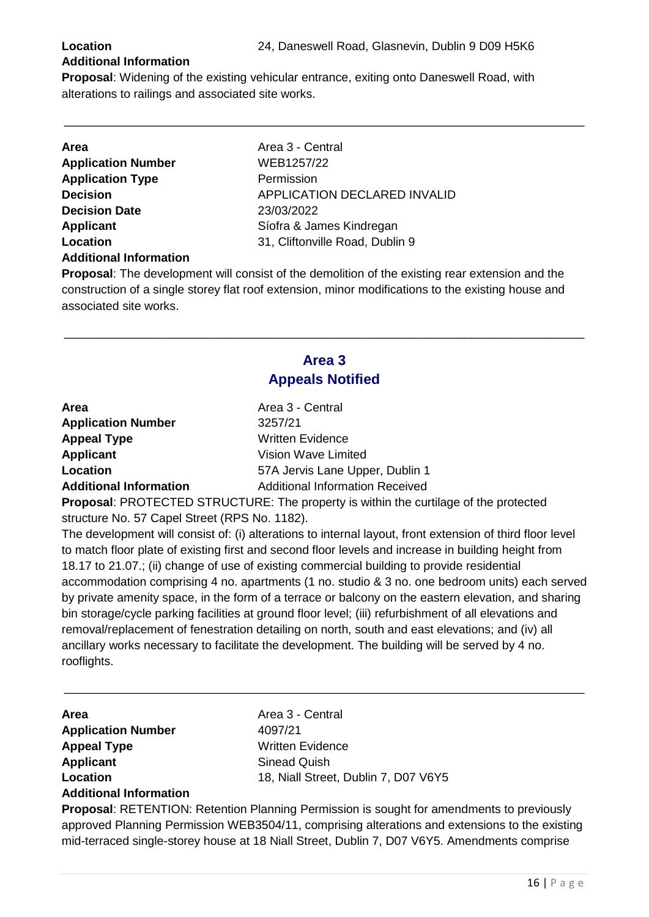#### **Additional Information**

**Proposal**: Widening of the existing vehicular entrance, exiting onto Daneswell Road, with alterations to railings and associated site works.

\_\_\_\_\_\_\_\_\_\_\_\_\_\_\_\_\_\_\_\_\_\_\_\_\_\_\_\_\_\_\_\_\_\_\_\_\_\_\_\_\_\_\_\_\_\_\_\_\_\_\_\_\_\_\_\_\_\_\_\_\_\_\_\_\_\_\_\_\_\_\_\_\_\_\_\_\_\_

| <b>Area</b>                   | Area 3 - Central                    |
|-------------------------------|-------------------------------------|
| <b>Application Number</b>     | WEB1257/22                          |
| <b>Application Type</b>       | Permission                          |
| <b>Decision</b>               | <b>APPLICATION DECLARED INVALID</b> |
| <b>Decision Date</b>          | 23/03/2022                          |
| <b>Applicant</b>              | Síofra & James Kindregan            |
| Location                      | 31, Cliftonville Road, Dublin 9     |
| <b>Additional Information</b> |                                     |

**Proposal**: The development will consist of the demolition of the existing rear extension and the construction of a single storey flat roof extension, minor modifications to the existing house and associated site works.

### **Area 3 Appeals Notified**

\_\_\_\_\_\_\_\_\_\_\_\_\_\_\_\_\_\_\_\_\_\_\_\_\_\_\_\_\_\_\_\_\_\_\_\_\_\_\_\_\_\_\_\_\_\_\_\_\_\_\_\_\_\_\_\_\_\_\_\_\_\_\_\_\_\_\_\_\_\_\_\_\_\_\_\_\_\_

| <b>Area</b>                   | Area 3 - Central                       |
|-------------------------------|----------------------------------------|
| <b>Application Number</b>     | 3257/21                                |
| <b>Appeal Type</b>            | <b>Written Evidence</b>                |
| Applicant                     | Vision Wave Limited                    |
| Location                      | 57A Jervis Lane Upper, Dublin 1        |
| <b>Additional Information</b> | <b>Additional Information Received</b> |

**Proposal**: PROTECTED STRUCTURE: The property is within the curtilage of the protected structure No. 57 Capel Street (RPS No. 1182).

The development will consist of: (i) alterations to internal layout, front extension of third floor level to match floor plate of existing first and second floor levels and increase in building height from 18.17 to 21.07.; (ii) change of use of existing commercial building to provide residential accommodation comprising 4 no. apartments (1 no. studio & 3 no. one bedroom units) each served by private amenity space, in the form of a terrace or balcony on the eastern elevation, and sharing bin storage/cycle parking facilities at ground floor level; (iii) refurbishment of all elevations and removal/replacement of fenestration detailing on north, south and east elevations; and (iv) all ancillary works necessary to facilitate the development. The building will be served by 4 no. rooflights.

\_\_\_\_\_\_\_\_\_\_\_\_\_\_\_\_\_\_\_\_\_\_\_\_\_\_\_\_\_\_\_\_\_\_\_\_\_\_\_\_\_\_\_\_\_\_\_\_\_\_\_\_\_\_\_\_\_\_\_\_\_\_\_\_\_\_\_\_\_\_\_\_\_\_\_\_\_\_

| <b>Area</b>                   |  |
|-------------------------------|--|
| <b>Application Number</b>     |  |
| <b>Appeal Type</b>            |  |
| <b>Applicant</b>              |  |
| Location                      |  |
| <b>Additional Information</b> |  |

Area 3 - Central **Application Number** 4097/21 **Written Evidence Sinead Quish** 18, Niall Street, Dublin 7, D07 V6Y5

**Proposal**: RETENTION: Retention Planning Permission is sought for amendments to previously approved Planning Permission WEB3504/11, comprising alterations and extensions to the existing mid-terraced single-storey house at 18 Niall Street, Dublin 7, D07 V6Y5. Amendments comprise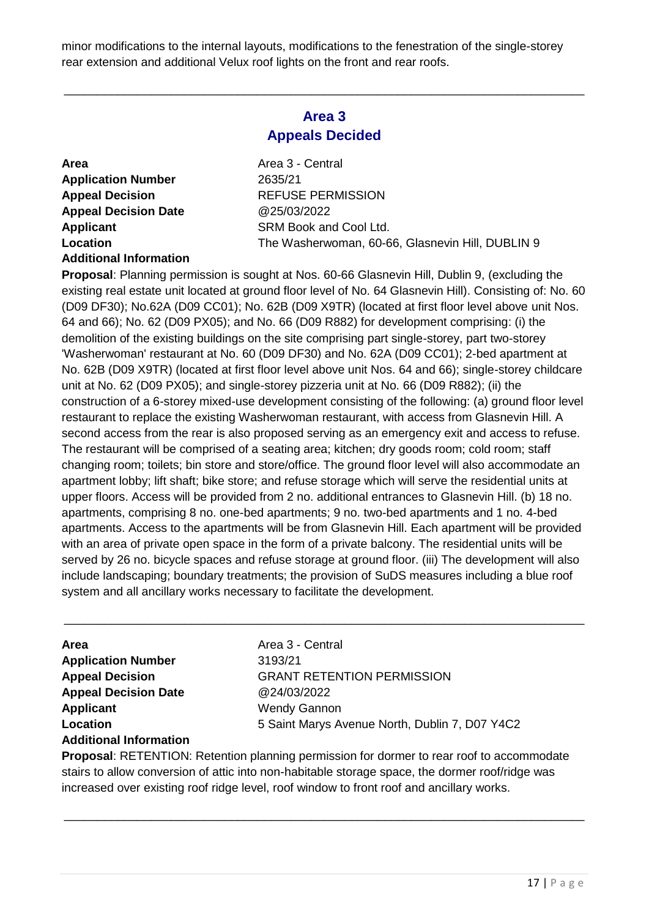minor modifications to the internal layouts, modifications to the fenestration of the single-storey rear extension and additional Velux roof lights on the front and rear roofs.

#### **Area 3 Appeals Decided**

\_\_\_\_\_\_\_\_\_\_\_\_\_\_\_\_\_\_\_\_\_\_\_\_\_\_\_\_\_\_\_\_\_\_\_\_\_\_\_\_\_\_\_\_\_\_\_\_\_\_\_\_\_\_\_\_\_\_\_\_\_\_\_\_\_\_\_\_\_\_\_\_\_\_\_\_\_\_

**Area** Area 3 - Central **Application Number** 2635/21 **Appeal Decision Date** @25/03/2022 **Additional Information**

**Appeal Decision** REFUSE PERMISSION **Applicant** SRM Book and Cool Ltd. Location The Washerwoman, 60-66, Glasnevin Hill, DUBLIN 9

**Proposal**: Planning permission is sought at Nos. 60-66 Glasnevin Hill, Dublin 9, (excluding the existing real estate unit located at ground floor level of No. 64 Glasnevin Hill). Consisting of: No. 60 (D09 DF30); No.62A (D09 CC01); No. 62B (D09 X9TR) (located at first floor level above unit Nos. 64 and 66); No. 62 (D09 PX05); and No. 66 (D09 R882) for development comprising: (i) the demolition of the existing buildings on the site comprising part single-storey, part two-storey 'Washerwoman' restaurant at No. 60 (D09 DF30) and No. 62A (D09 CC01); 2-bed apartment at No. 62B (D09 X9TR) (located at first floor level above unit Nos. 64 and 66); single-storey childcare unit at No. 62 (D09 PX05); and single-storey pizzeria unit at No. 66 (D09 R882); (ii) the construction of a 6-storey mixed-use development consisting of the following: (a) ground floor level restaurant to replace the existing Washerwoman restaurant, with access from Glasnevin Hill. A second access from the rear is also proposed serving as an emergency exit and access to refuse. The restaurant will be comprised of a seating area; kitchen; dry goods room; cold room; staff changing room; toilets; bin store and store/office. The ground floor level will also accommodate an apartment lobby; lift shaft; bike store; and refuse storage which will serve the residential units at upper floors. Access will be provided from 2 no. additional entrances to Glasnevin Hill. (b) 18 no. apartments, comprising 8 no. one-bed apartments; 9 no. two-bed apartments and 1 no. 4-bed apartments. Access to the apartments will be from Glasnevin Hill. Each apartment will be provided with an area of private open space in the form of a private balcony. The residential units will be served by 26 no. bicycle spaces and refuse storage at ground floor. (iii) The development will also include landscaping; boundary treatments; the provision of SuDS measures including a blue roof system and all ancillary works necessary to facilitate the development.

\_\_\_\_\_\_\_\_\_\_\_\_\_\_\_\_\_\_\_\_\_\_\_\_\_\_\_\_\_\_\_\_\_\_\_\_\_\_\_\_\_\_\_\_\_\_\_\_\_\_\_\_\_\_\_\_\_\_\_\_\_\_\_\_\_\_\_\_\_\_\_\_\_\_\_\_\_\_

| Area                          |
|-------------------------------|
| <b>Application Number</b>     |
| <b>Appeal Decision</b>        |
| <b>Appeal Decision Date</b>   |
| <b>Applicant</b>              |
| Location                      |
| <b>Additional Information</b> |

**Area** Area 3 - Central **Application Number** 3193/21 *A* GRANT RETENTION PERMISSION **Appeal Decision Date** @24/03/2022 **Wendy Gannon Location** 5 Saint Marys Avenue North, Dublin 7, D07 Y4C2

**Proposal**: RETENTION: Retention planning permission for dormer to rear roof to accommodate stairs to allow conversion of attic into non-habitable storage space, the dormer roof/ridge was increased over existing roof ridge level, roof window to front roof and ancillary works.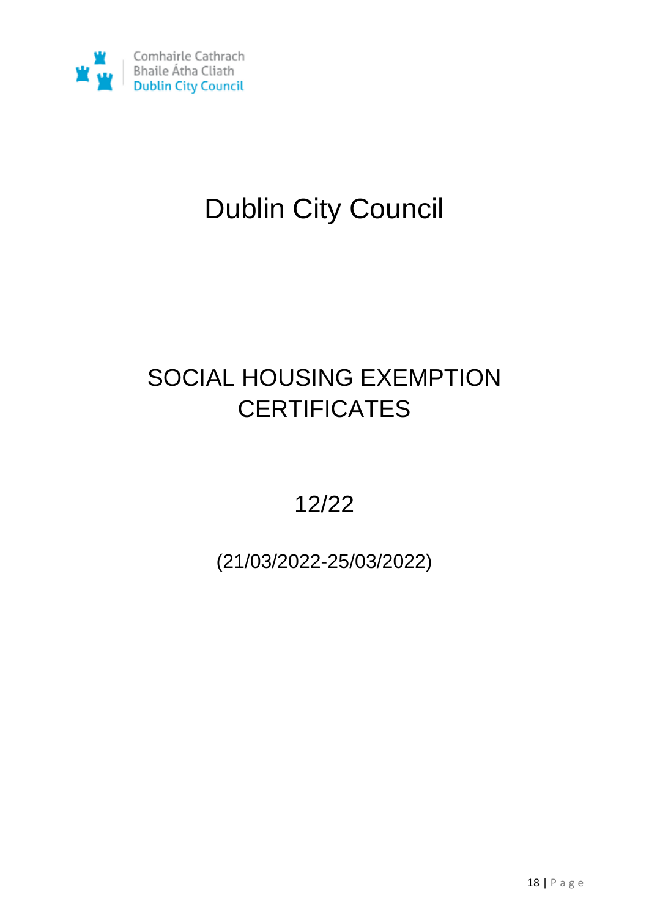

# Dublin City Council

### SOCIAL HOUSING EXEMPTION **CERTIFICATES**

12/22

(21/03/2022-25/03/2022)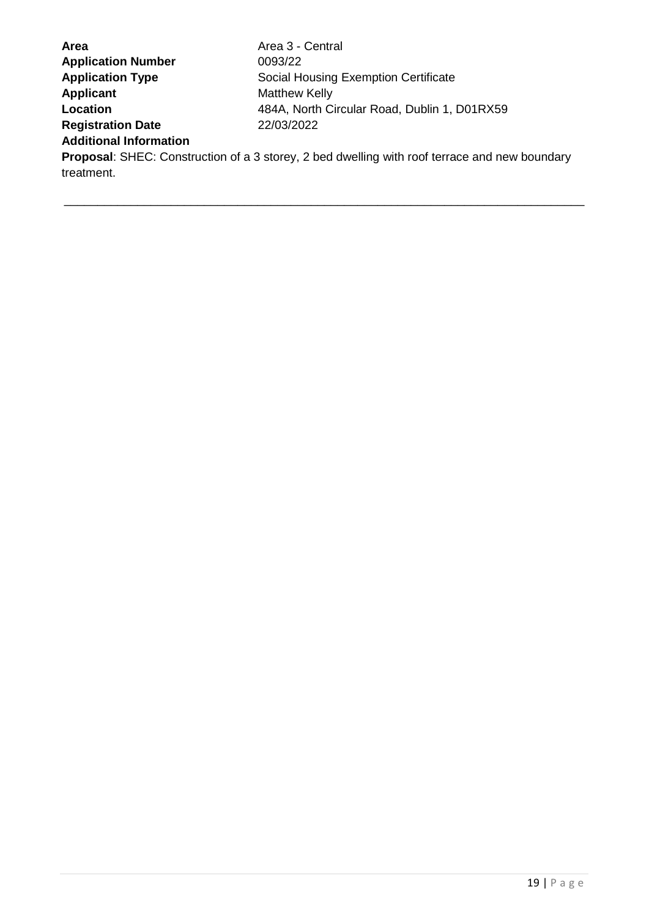| Area                                                                                                 | Area 3 - Central                             |  |
|------------------------------------------------------------------------------------------------------|----------------------------------------------|--|
| <b>Application Number</b>                                                                            | 0093/22                                      |  |
| <b>Application Type</b>                                                                              | Social Housing Exemption Certificate         |  |
| <b>Applicant</b>                                                                                     | Matthew Kelly                                |  |
| Location                                                                                             | 484A, North Circular Road, Dublin 1, D01RX59 |  |
| <b>Registration Date</b>                                                                             | 22/03/2022                                   |  |
| <b>Additional Information</b>                                                                        |                                              |  |
| <b>Proposal:</b> SHEC: Construction of a 3 storey, 2 bed dwelling with roof terrace and new boundary |                                              |  |
| treatment.                                                                                           |                                              |  |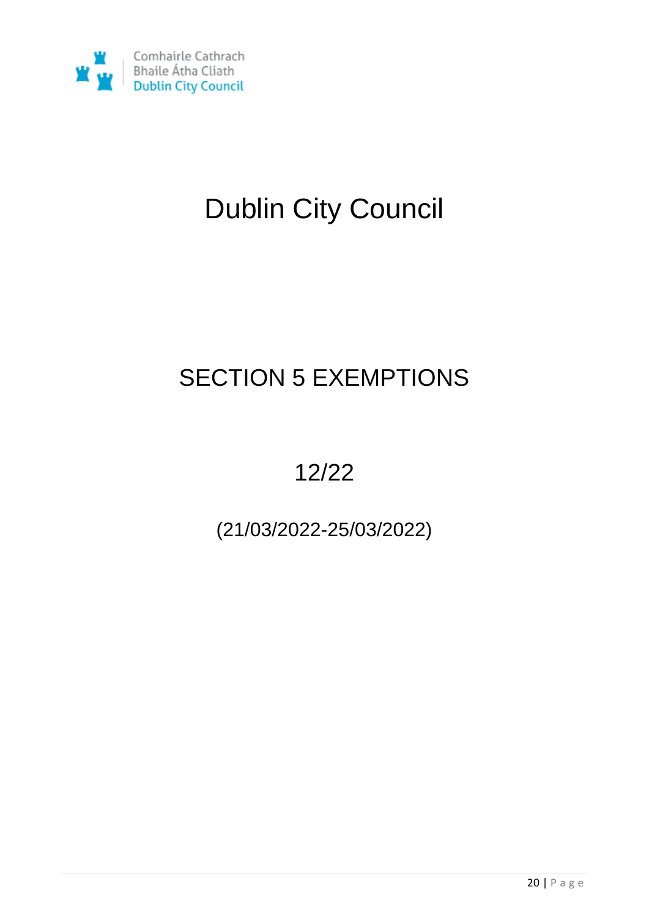

# Dublin City Council

## SECTION 5 EXEMPTIONS

### 12/22

### (21/03/2022-25/03/2022)